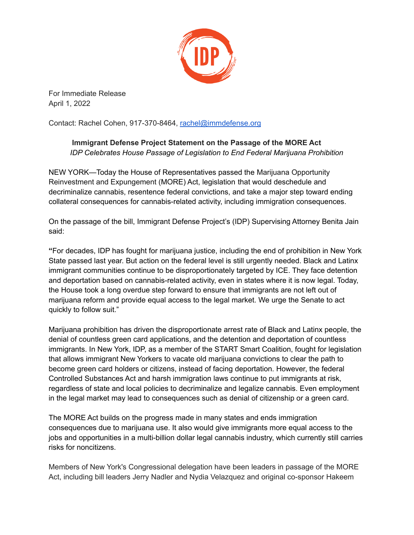

For Immediate Release April 1, 2022

Contact: Rachel Cohen, 917-370-8464, rachel@immdefense.org

## **Immigrant Defense Project Statement on the Passage of the MORE Act** *IDP Celebrates House Passage of Legislation to End Federal Marijuana Prohibition*

NEW YORK—Today the House of Representatives passed the Marijuana Opportunity Reinvestment and Expungement (MORE) Act, legislation that would deschedule and decriminalize cannabis, resentence federal convictions, and take a major step toward ending collateral consequences for cannabis-related activity, including immigration consequences.

On the passage of the bill, Immigrant Defense Project's (IDP) Supervising Attorney Benita Jain said:

**"**For decades, IDP has fought for marijuana justice, including the end of prohibition in New York State passed last year. But action on the federal level is still urgently needed. Black and Latinx immigrant communities continue to be disproportionately targeted by ICE. They face detention and deportation based on cannabis-related activity, even in states where it is now legal. Today, the House took a long overdue step forward to ensure that immigrants are not left out of marijuana reform and provide equal access to the legal market. We urge the Senate to act quickly to follow suit."

Marijuana prohibition has driven the disproportionate arrest rate of Black and Latinx people, the denial of countless green card applications, and the detention and deportation of countless immigrants. In New York, IDP, as a member of the START Smart Coalition, fought for legislation that allows immigrant New Yorkers to vacate old marijuana convictions to clear the path to become green card holders or citizens, instead of facing deportation. However, the federal Controlled Substances Act and harsh immigration laws continue to put immigrants at risk, regardless of state and local policies to decriminalize and legalize cannabis. Even employment in the legal market may lead to consequences such as denial of citizenship or a green card.

The MORE Act builds on the progress made in many states and ends immigration consequences due to marijuana use. It also would give immigrants more equal access to the jobs and opportunities in a multi-billion dollar legal cannabis industry, which currently still carries risks for noncitizens.

Members of New York's Congressional delegation have been leaders in passage of the MORE Act, including bill leaders Jerry Nadler and Nydia Velazquez and original co-sponsor Hakeem